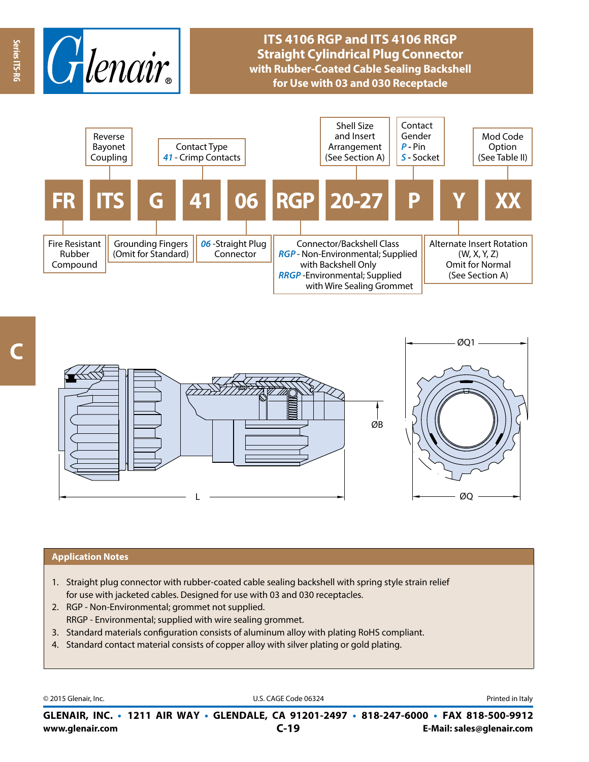

## **ITS 4106 RGP and ITS 4106 RRGP Straight Cylindrical Plug Connector with Rubber-Coated Cable Sealing Backshell for Use with 03 and 030 Receptacle**





## **Application Notes**

- 1. Straight plug connector with rubber-coated cable sealing backshell with spring style strain relief for use with jacketed cables. Designed for use with 03 and 030 receptacles.
- 2. RGP Non-Environmental; grommet not supplied. RRGP - Environmental; supplied with wire sealing grommet.
- 3. Standard materials configuration consists of aluminum alloy with plating RoHS compliant.
- 4. Standard contact material consists of copper alloy with silver plating or gold plating.

© 2015 Glenair, Inc. **Discription Construction Construction Construction Construction Construction Construction Construction Construction Construction Construction Construction Construction Construction Construction Constr** 

**www.glenair.com E-Mail: sales@glenair.com GLENAIR, INC. • 1211 AIR WAY • GLENDALE, CA 91201-2497 • 818-247-6000 • FAX 818-500-9912 C-19**